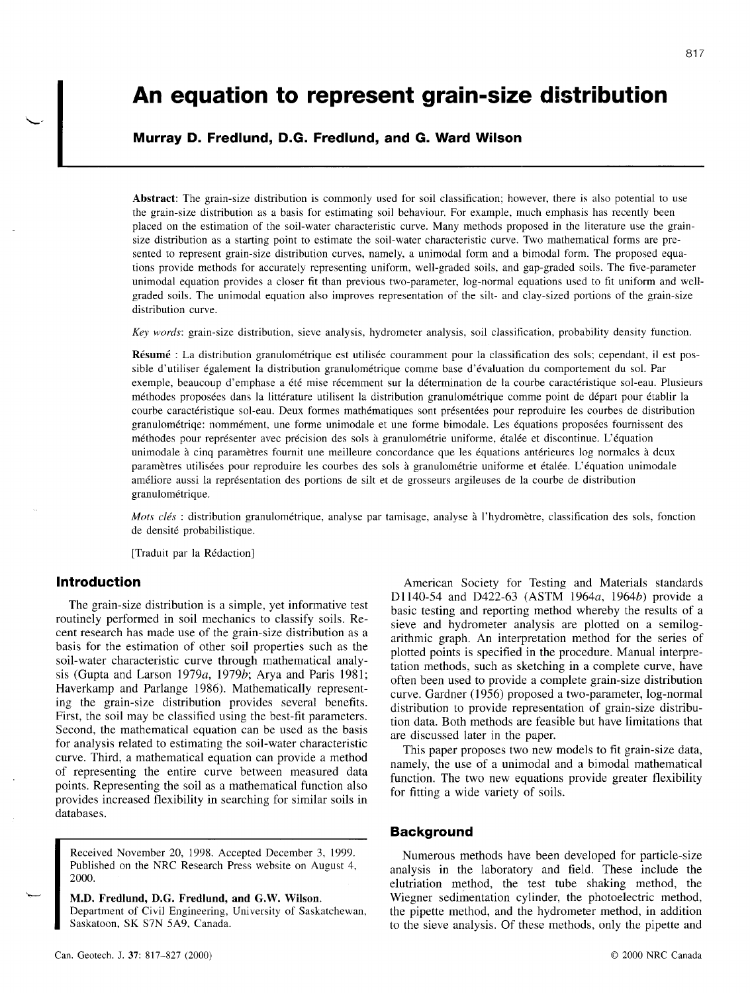# An equation to represent grain-size distribution

# Murray D. Fredlund, D.G. Fredlund, and G. Ward Wilson

Abstract: The grain-size distribution is commonly used for soil classification; however, there is also potential to use the grain-size distribution as a basis for estimating soil behaviour. For example, much emphasis has recently been placed on the estimation of the soil-water characteristic curve. Many methods proposed in the literature use the grainsize distribution as a starting point to estimate the soil-water characteristic curve. Two mathematical forms are presented to represent grain-size distribution curves, namely, a unimodal form and a bimodal form. The proposed equations provide methods for accurately representing uniform, well-graded soils, and gap-graded soils. The five-parameter unimodal equation provides a closer fit than previous two-parameter, log-normal equations used to fit uniform and wellgraded soils. The unimodal equation also improves representation of the silt- and clay-sized portions of the grain-size distribution curve.

Key words: grain-size distribution, sieve analysis, hydrometer analysis, soil classification, probability density function.

Résumé : La distribution granulométrique est utilisée couramment pour la classification des sols; cependant, il est possible d'utiliser également la distribution granulométrique comme base d'évaluation du comportement du sol. Par exemple, beaucoup d'emphase a été mise récemment sur la détermination de la courbe caractéristique sol-eau. Plusieurs méthodes proposées dans la littérature utilisent la distribution granulométrique comme point de départ pour établir la courbe caractéristique sol-eau. Deux formes mathématiques sont présentées pour reproduire les courbes de distribution granulométriqe: nommément, une forme unimodale et une forme bimodale. Les équations proposées fournissent des méthodes pour représenter avec précision des sols à granulométrie uniforme, étalée et discontinue. L'équation unimodale à cinq paramètres fournit une meilleure concordance que les équations antérieures log normales à deux paramètres utilisées pour reproduire les courbes des sols à granulométrie uniforme et étalée. L'équation unimodale am6liore aussi Ia repr6sentation des portions de silt et de grosseurs argileuses de la courbe de distribution granulométrique.

Mots clés : distribution granulométrique, analyse par tamisage, analyse à l'hydromètre, classification des sols, fonction de densité probabilistique.

[Traduit par la Rédaction]

### Introduction

The grain-size distribution is a simple, yet informative test routinely performed in soil mechanics to classify soils. Recent research has made use of the grain-size distribution as a basis for the estimation of other soil properties such as the soil-water characteristic curve through mathematical analysis (Gupta and Larson 1979a, 1979b; Arya and Paris 1981; Haverkamp and Parlange 1986). Mathematically representing the grain-size distribution provides several benefits. First, the soil may be classified using the best-fit parameters. Second, the mathematical equation can be used as the basis for analysis related to estimating the soil-water characteristic curve. Third, a mathematical equation can provide a method of representing the entire curve between measured data points. Representing the soil as a mathematical function also provides increased flexibility in searching for similar soils in databases.

Received November 20, 1998. Accepted December 3, 1999. Published on the NRC Research Press website on August 4, 2000.

M.D. Fredlund, D.G. Fredlund, and G.W. Wilson. Department of Civil Engineering, University of Saskatchewan, Saskatoon, SK S7N 5A9, Canada.

American Society for Testing and Materials standards Dl140-54 and D422-63 (ASTM 1964a, 1964b) provide a basic testing and reporting method whereby the results of a sieve and hydrometer analysis are plotted on a semilogarithmic graph. An interpretation method for the series of plotted points is specified in the procedure. Manual interpretation methods, such as sketching in a complete curve, have often been used to provide a complete grain-size distribution curve. Gardner (1956) proposed a two-parameter, log-normal distribution to provide representation of grain-size distribution data. Both methods are feasible but have limitations that are discussed later in the paper.

This paper proposes two new models to fit grain-size data, namely, the use of a unimodal and a bimodal mathematical function. The two new equations provide greater flexibility for fitting a wide variety of soils.

#### Background

Numerous methods have been developed for particle-size analysis in the laboratory and field. These include the elutriation method, the test tube shaking method, the Wiegner sedimentation cylinder, the photoelectric method, the pipette method, and the hydrometer method, in addition to the sieve analysis. Of these methods, only the pipette and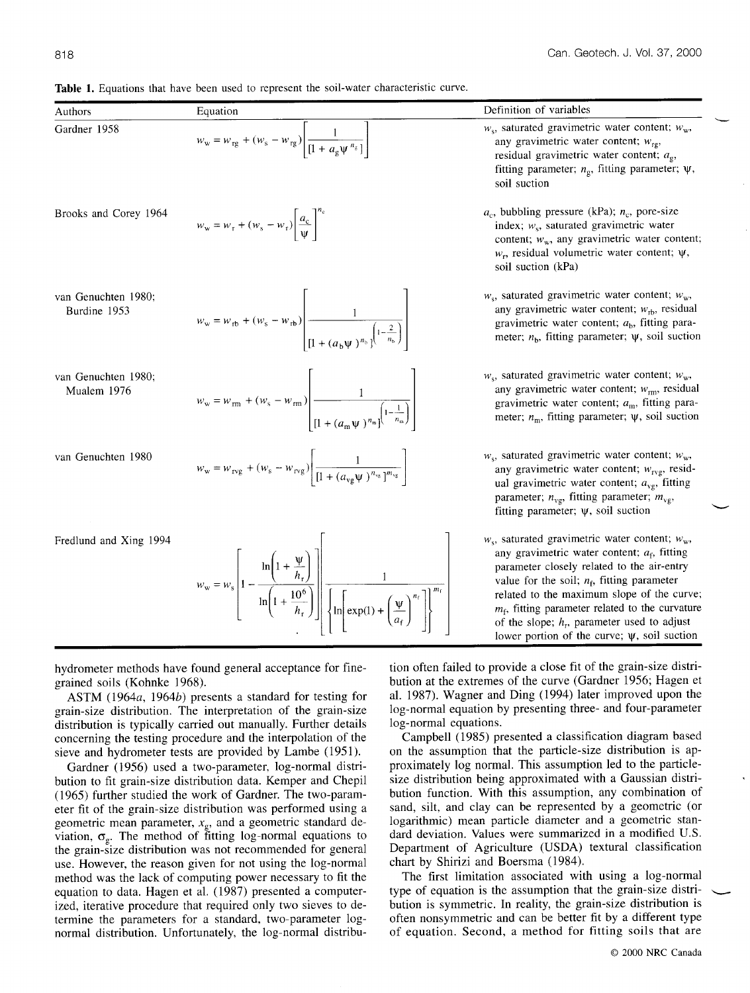| Authors                             | Equation                                                                                                                                                                                                      | Definition of variables                                                                                                                                                                                                                                                                                                                                                                                          |
|-------------------------------------|---------------------------------------------------------------------------------------------------------------------------------------------------------------------------------------------------------------|------------------------------------------------------------------------------------------------------------------------------------------------------------------------------------------------------------------------------------------------------------------------------------------------------------------------------------------------------------------------------------------------------------------|
| Gardner 1958                        | $w_w = w_{\text{rg}} + (w_s - w_{\text{rg}}) \left  \frac{1}{[1 + a_s \psi^{n_s}]} \right $                                                                                                                   | $w_s$ , saturated gravimetric water content; $w_w$ ,<br>any gravimetric water content; $w_{rg}$ ,<br>residual gravimetric water content; $a_{\rm g}$ ,<br>fitting parameter; $n_g$ , fitting parameter; $\psi$ ,<br>soil suction                                                                                                                                                                                 |
| Brooks and Corey 1964               | $w_w = w_r + (w_s - w_r) \frac{a_c}{\Psi}$                                                                                                                                                                    | $a_c$ , bubbling pressure (kPa); $n_c$ , pore-size<br>index; $w_s$ , saturated gravimetric water<br>content; $w_w$ , any gravimetric water content;<br>$w_r$ , residual volumetric water content; $\psi$ ,<br>soil suction (kPa)                                                                                                                                                                                 |
| van Genuchten 1980;<br>Burdine 1953 | $w_w = w_{rb} + (w_s - w_{rb}) \left  \frac{1}{\prod_{i=1}^{n} (a_h \psi)^{n_b} \int_{s}^{\left(1 - \frac{2}{n_b}\right)}} \right $                                                                           | $w_s$ , saturated gravimetric water content; $w_w$ ,<br>any gravimetric water content; $w_{rb}$ , residual<br>gravimetric water content; $ab$ , fitting para-<br>meter; $n_b$ , fitting parameter; $\psi$ , soil suction                                                                                                                                                                                         |
| van Genuchten 1980;<br>Mualem 1976  | $w_w = w_{\rm rm} + (w_{\rm s} - w_{\rm rm}) \left[ \frac{1}{\left[1 + (a_{\rm m}\Psi)^{n_{\rm m}}\right]^{1 - \frac{1}{n_{\rm m}}}} \right]$                                                                 | $w_s$ , saturated gravimetric water content; $w_w$ ,<br>any gravimetric water content; $w_{\rm rm}$ , residual<br>gravimetric water content; $a_{\rm m}$ , fitting para-<br>meter; $n_m$ , fitting parameter; $\psi$ , soil suction                                                                                                                                                                              |
| van Genuchten 1980                  | $w_w = w_{\text{ryg}} + (w_s - w_{\text{ryg}}) \left  \frac{1}{\left[1 + (a_{\text{vo}} \Psi)^{n_{\text{vs}}}\right]^{m_{\text{vs}}}} \right $                                                                | $w_s$ , saturated gravimetric water content; $w_w$ ,<br>any gravimetric water content; $w_{\text{ryg}}$ , resid-<br>ual gravimetric water content; $a_{\text{vg}}$ , fitting<br>parameter; $n_{vg}$ , fitting parameter; $m_{vg}$ ,<br>fitting parameter; $\psi$ , soil suction                                                                                                                                  |
| Fredlund and Xing 1994              | $w_w = w_s \left[ 1 - \frac{\ln\left(1 + \frac{\psi}{h_r}\right)}{\ln\left(1 + \frac{10^6}{h_r}\right)} \right] \left[ \frac{1}{\ln\left \exp(1) + \left(\frac{\psi}{a_f}\right)^{n_f}\right } \right]^{m_f}$ | $w_s$ , saturated gravimetric water content; $w_w$ ,<br>any gravimetric water content; $a_f$ , fitting<br>parameter closely related to the air-entry<br>value for the soil; $n_f$ , fitting parameter<br>related to the maximum slope of the curve;<br>$m_f$ , fitting parameter related to the curvature<br>of the slope; $h_r$ , parameter used to adjust<br>lower portion of the curve; $\psi$ , soil suction |

Table 1. Equations that have been used to represent the soil-water characteristic curve.

hydrometer methods have found general acceptance for finegrained soils (Kohnke 1968).

ASTM (1964a, 1964b) presents a standard for testing for grain-size distribution. The interpretation of the grain-size distribution is typically carried out manually. Further details concerning the testing procedure and the interpolation of the sieve and hydrometer tests are provided by Lambe (1951).

Gardner (1956) used a two-parameter, log-normal distribution to fit grain-size distribution data. Kemper and Chepil (1965) further studied the work of Gardner. The two-parameter fit of the grain-size distribution was performed using a geometric mean parameter,  $x_{\rm g}$ , and a geometric standard deviation,  $\sigma_g$ . The method of fitting log-normal equations to the grain-size distribution was not recommended for general use. However, the reason given for not using the log-normal method was the lack of computing power necessary to fit the equation to data. Hagen et al. (1987) presented a computerized, iterative procedure that required only two sieves to determine the parameters for a standard, two-parameter lognormal distribution. Unfortunately, the log-normal distribution often failed to provide a close fit of the grain-size distribution at the extremes of the curve (Gardner 1956; Hagen et al. 1987). Wagner and Ding (1994) later improved upon the log-normal equation by presenting three- and four-parameter log-normal equations.

Campbell (1985) presented a classification diagram based on the assumption that the particle-size distribution is approximately log normal. This assumption led to the particlesize distribution being approximated with a Gaussian distribution function. With this assumption, any combination of sand, silt, and clay can be represented by a geometric (or logarithmic) mean particle diameter and a geometric standard deviation. Values were summarized in a modified U.S. Department of Agriculture (USDA) textural classification chart by Shirizi and Boersma (1984).

The first limitation associated with using a log-normal type of equation is the assumption that the grain-size distribution is symmetric. In reality, the grain-size distribution is often nonsymmetric and can be better fit by a different type of equation. Second, a method for fitting soils that are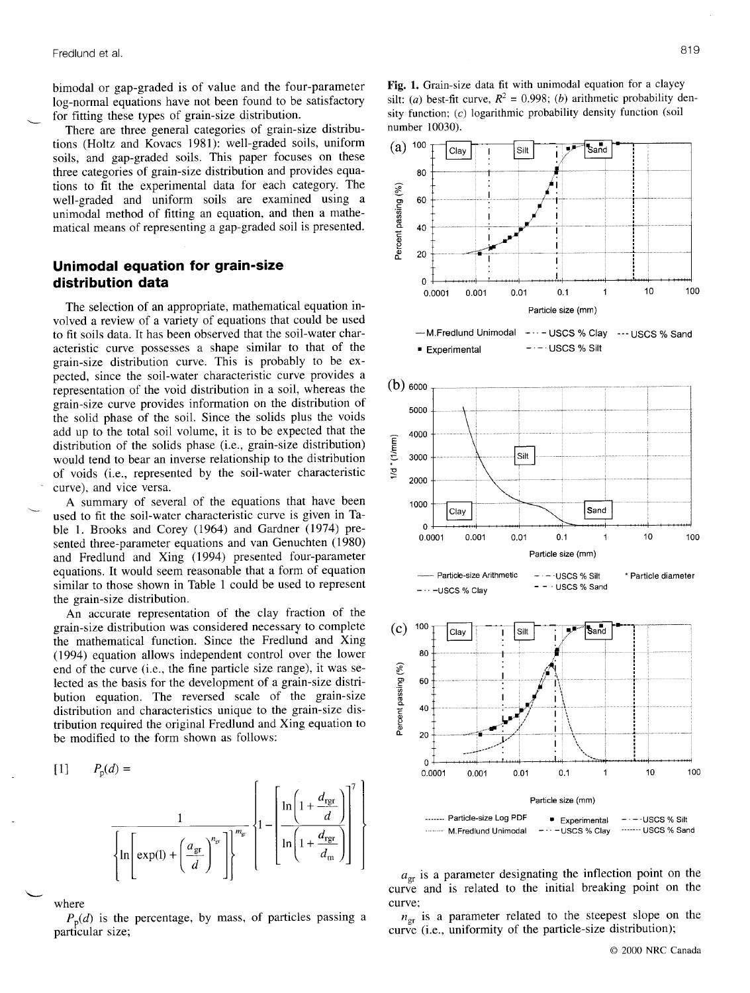bimodal or gap-graded is of value and the four-parameter log-normal equations have not been found to be satisfactory for fitting these types of grain-size distribution.

There are three general categories of grain-size distributions (Holtz and Kovacs 1981): well-graded soils, uniform soils, and gap-graded soils. This paper focuses on these three categories of grain-size distribution and provides equations to fit the experimental data for each category. The well-graded and uniform soils are examined using a unimodal method of fitting an equation, and then a mathematical means of representing a gap-graded soil is presented.

# Unimodal equation for grain-size distribution data

The selection of an appropriate, mathematical equation involved a review of a variety of equations that could be used to frt soils data. It has been observed that the soil-water characteristic curve possesses a shape similar to that of the grain-size distribution curve. This is probably to be expected, since the soil-water characteristic curve provides a representation of the void distribution in a soil, whereas the grain-size curve provides information on the distribution of the solid phase of the soil. Since the solids plus the voids add up to the total soil volume, it is to be expected that the distribution of the solids phase (i.e., grain-size distribution) would tend to bear an inverse relationship to the distribution of voids (i.e., represented by the soil-water characteristic curve), and vice versa.

A summary of several of the equations that have been used to fit the soil-water characteristic curve is given in Table 1. Brooks and Corey (1964) and Gardner (1974) presented three-parameter equations and van Genuchten (1980) and Fredlund and Xing (1994) presented four-parameter equations. It would seem reasonable that a form of equation similar to those shown in Table I could be used to represent the grain-size distribution.

An accurate representation of the clay fraction of the grain-size distribution was considered necessary to complete the mathematical function. Since the Fredlund and Xing (1994) equation allows independent control over the lower end of the curve (i.e., the fine particle size range), it was selected as the basis for the development of a grain-size distribution equation. The reversed scale of the grain-size distribution and characteristics unique to the grain-size distribution required the original Fredlund and Xing equation to be modifred to the form shown as follows:

tll Pe(A = ''''. M.Fredlund Unimodal - -USCS % Clay -----"- USCS % Sand t t (- \'..11-" jtnlexnttr.[?l li t L . l l i, f'"['.g)l' l L;F\*ll

where

 $P_p(d)$  is the percentage, by mass, of particles passing a particular size;





 $a_{\rm gr}$  is a parameter designating the inflection point on the curve and is related to the initial breaking point on the curve:

 $n_{\text{gr}}$  is a parameter related to the steepest slope on the curve (i.e., uniformity of the particle-size distribution);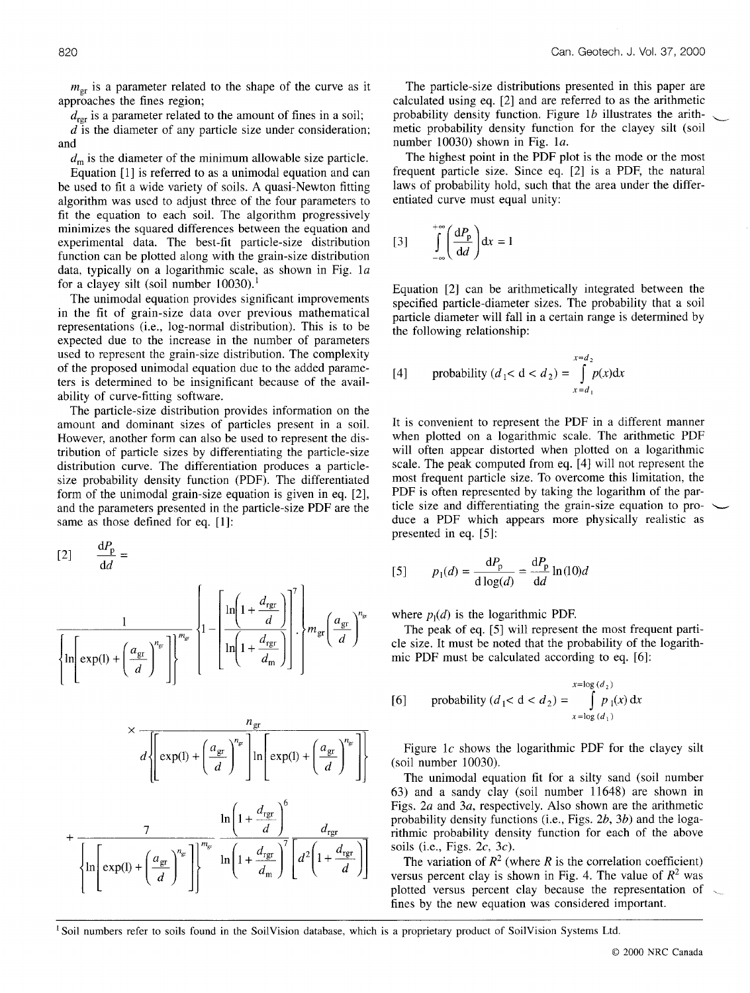$m_{\text{gr}}$  is a parameter related to the shape of the curve as it approaches the fines region;

 $d_{\text{rer}}$  is a parameter related to the amount of fines in a soil;

d is the diameter of any particle size under consideration; and

 $d<sub>m</sub>$  is the diameter of the minimum allowable size particle.

Equation [1] is refened to as a unimodal equation and can be used to fit a wide variety of soils. A quasi-Newton fitting algorithm was used to adjust three of the four parameters to fit the equation to each soil. The algorithm progressively minimizes the squared differences between the equation and experimental data. The best-fit particle-size distribution function can be plotted along with the grain-size distribution data, typically on a logarithmic scale, as shown in Fig.  $1a$ for a clayey silt (soil number  $10030$ ).<sup>1</sup>

The unimodal equation provides significant improvements in the fit of grain-size data over previous mathematical representations (i.e., log-normal distribution). This is to be expected due to the increase in the number of parameters used to represent the grain-size distribution. The complexity of the proposed unimodal equation due to the added parameters is determined to be insignificant because of the availability of curve-fitting software.

The particle-size distribution provides information on the amount and dominant sizes of particles present in a soil. However, another form can also be used to represent the distribution of particle sizes by differentiating the particle-size distribution curve. The differentiation produces a particlesize probability density function (PDF). The differentiated form of the unimodal grain-size equation is given in eq. [2], and the parameters presented in the particle-size PDF are the same as those defined for eq. [1]:

$$
\frac{dP_p}{dd} = \frac{1}{\left[3\right] \qquad p_1(d) = \frac{dP_p}{d\log(d)}} = \frac{1}{\left[1\left(1 + \frac{d_{\text{ref}}}{d}\right)\right]^n} \left\{1 - \left[\frac{\ln\left(1 + \frac{d_{\text{ref}}}{d}\right)}{\ln\left(1 + \frac{d_{\text{ref}}}{d_{\text{min}}}\right)}\right]^n\right\} = \frac{1}{\left[1\left(1 + \frac{d_{\text{ref}}}{d_{\text{min}}}\right)\right]^n
$$
\nwhere  $p_1(d)$  is the logarithm. The peak of eq. [5] will  
cle size. It must be noted to  
mic PDF must be calculat

$$
\times \frac{n_{\text{gr}}}{d \left\{ \exp(1) + \left( \frac{a_{\text{gr}}}{d} \right)^{n_{\text{gr}}} \right\} \ln \left[ \exp(1) + \left( \frac{a_{\text{gr}}}{d} \right)^{n_{\text{gr}}} \right] \right\} \quad \text{Figure} \atop \text{(soil numl} \atop \text{The uni} \atop \text{of 3) and a} \atop \text{figs. 2a a} \atop \text{figs. 2a a} \atop \text{probability} \atop \text{in} \left\{ \ln \left( \exp(1) + \left( \frac{a_{\text{gr}}}{d} \right)^{n_{\text{gr}}} \right) \right\}^{m_{\text{gr}}} \quad \ln \left( 1 + \frac{d_{\text{rg}}}{d_{\text{m}}} \right)^7 \left[ d^2 \left( 1 + \frac{d_{\text{rg}}}{d} \right) \right] \quad \text{with} \atop \text{or both a} \atop \text{versus per} \atop \text{versus per} \atop \text{plotted vee}} \times \frac{n_{\text{gr}}}{n_{\text{ref}}}
$$

The particle-size distributions presented in this paper are calculated using eq. 12) and are referred to as the arithmetic probability density function. Figure 1b illustrates the arithmetic probability density function for the clayey silt (soil number 10030) shown in Fig. la.

The highest point in the PDF plot is the mode or the most frequent particle size. Since eq. [2] is a PDF, the natural laws of probability hold, such that the area under the differentiated curve must equal unity:

$$
[3] \qquad \int_{-\infty}^{+\infty} \left(\frac{\mathrm{d}P_{\mathrm{p}}}{\mathrm{d}d}\right) \mathrm{d}x = 1
$$

Equation [2] can be arithmetically integrated between the specified particle-diameter sizes. The probability that a soil particle diameter will fall in a certain range is determined by the following relationship:

[4] probability 
$$
(d_1 < d < d_2) = \int_{x=d_1}^{x=d_2} p(x) dx
$$

It is convenient to represent the PDF in a different manner when plotted on a logarithmic scale. The arithmetic PDF will often appear distorted when plotted on a logarithmic scale. The peak computed from eq. [4] will not represent the most frequent particle size. To overcome this limitation, the PDF is often represented by taking the logarithm of the particle size and differentiating the grain-size equation to produce a PDF which appears more physically realistic as presented in eq. [5]:

$$
[5] \qquad p_1(d) = \frac{\mathrm{d}P_{\mathrm{p}}}{\mathrm{d}\log(d)} = \frac{\mathrm{d}P_{\mathrm{p}}}{\mathrm{d}d}\ln(10)d
$$

where  $p_1(d)$  is the logarithmic PDF.

The peak of eq. [5] will represent the most frequent particle size. It must be noted that the probability of the logarithmic PDF must be calculated according to eq. [6]:

[6] probability 
$$
(d_1 < d < d_2) = \int_{x = \log(d_1)}^{x = \log(d_2)} p_1(x) dx
$$

Figure  $1c$  shows the logarithmic PDF for the clayey silt (soil number 10030).

The unimodal equation fit for a silty sand (soil number 63) and a sandy clay (soil number 11648) are shown in Figs. 2a and 3a, respectively. Also shown are the arithmetic probability density functions (i.e., Figs.  $2b$ ,  $3b$ ) and the logarithmic probability density function for each of the above soils (i.e., Figs.  $2c$ ,  $3c$ ).

The variation of  $R^2$  (where R is the correlation coefficient) versus percent clay is shown in Fig. 4. The value of  $R^2$  was plotted versus percent clay because the representation of fines by the new equation was considered important.

<sup>1</sup> Soil numbers refer to soils found in the SoilVision database, which is a proprietary product of SoilVision Systems Ltd.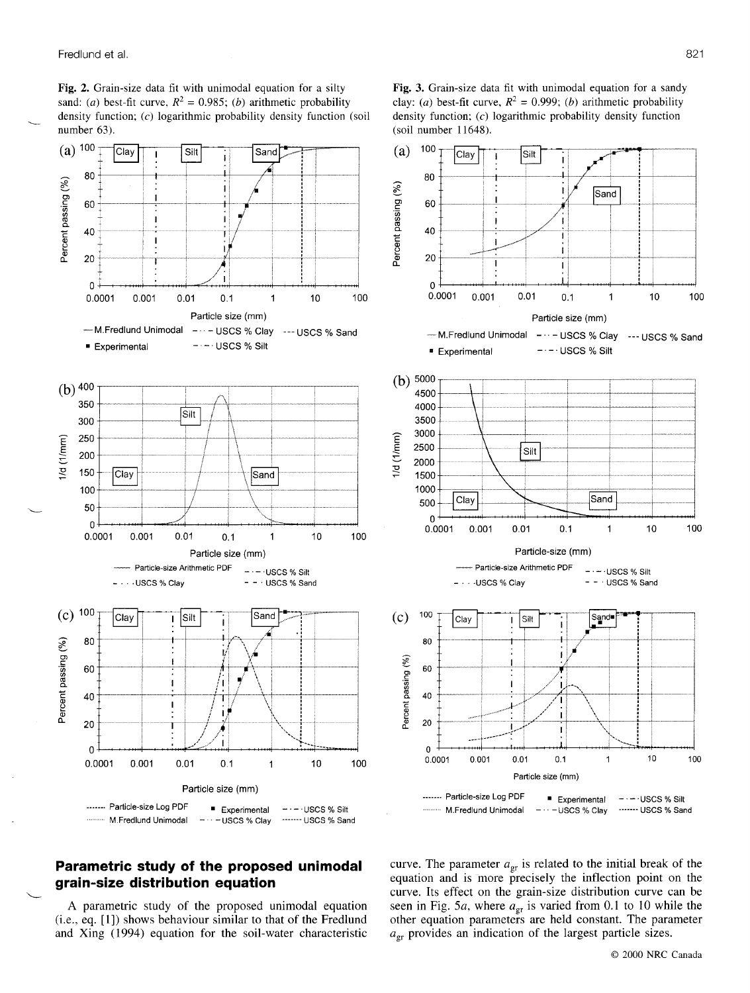Fig. 2. Grain-size data fit with unimodal equation for a silty sand: (a) best-fit curve,  $R^2 = 0.985$ ; (b) arithmetic probability density function; (c) logarithmic probability density function (soil number 63).

Fig. 3. Grain-size data fit with unimodal equation for a sandy clay: (a) best-fit curve,  $R^2 = 0.999$ ; (b) arithmetic probability density function; (c) logarithmic probability density function (soil number 11648).



# Parametric study of the proposed unimodal grain-size distribution equation

A parametric study of the proposed unimodal equation  $(i.e., eq. [1])$  shows behaviour similar to that of the Fredlund and Xing (1994) equation for the soil-water characteristic curve. The parameter  $a_{\rm cr}$  is related to the initial break of the equation and is more precisely the inflection point on the curve. Its effect on the grain-size distribution curve can be seen in Fig. 5a, where  $a_{\text{gr}}$  is varied from 0.1 to 10 while the other equation parameters are held constant. The parameter  $a_{\text{gr}}$  provides an indication of the largest particle sizes.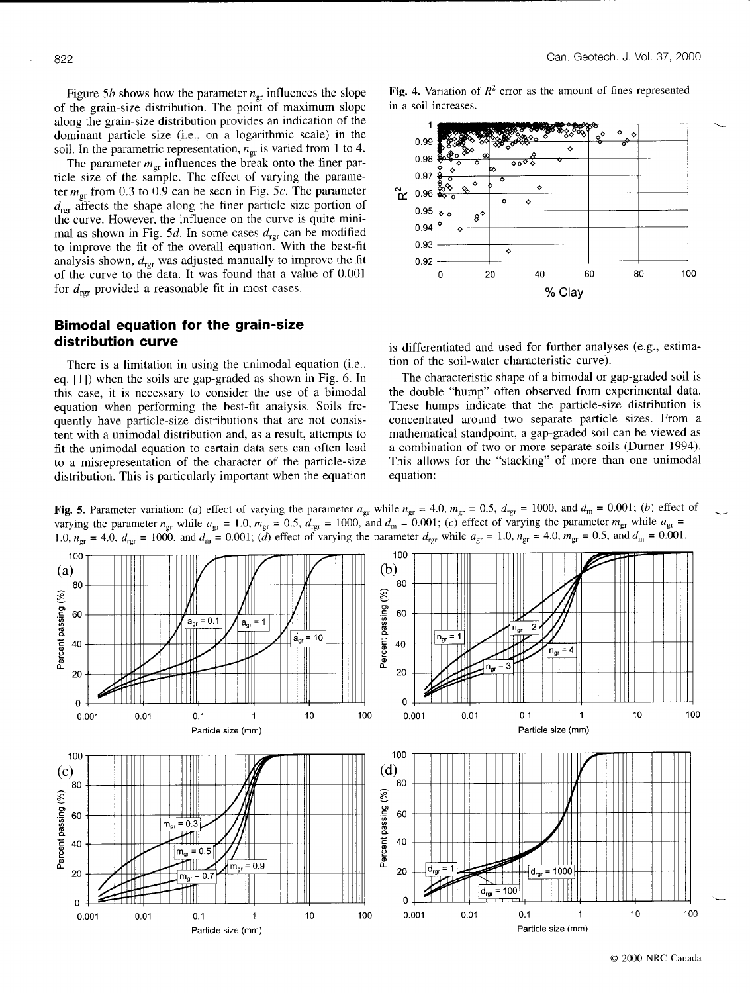Figure 5b shows how the parameter  $n_{\rm gr}$  influences the slope of the grain-size distribution. The point of maximum slope along the grain-size distribution provides an indication of the dominant particle size (i.e., on a logarithmic scale) in the soil. In the parametric representation,  $n_{\rm gr}$  is varied from 1 to 4.

The parameter  $m_{\text{gr}}$  influences the break onto the finer particle size of the sample. The effect of varying the parameter  $m_{\text{gr}}$  from 0.3 to 0.9 can be seen in Fig. 5c. The parameter  $d_{\text{ref}}$  affects the shape along the finer particle size portion of the curve. However, the influence on the curve is quite minimal as shown in Fig. 5d. In some cases  $d_{\text{rgr}}$  can be modified to improve the fit of the overall equation. With the best-fit analysis shown,  $d_{\text{rgr}}$  was adjusted manually to improve the fit of the curve to the data. It was found that a value of 0.001 for  $d_{\text{rpr}}$  provided a reasonable fit in most cases.

# Bimodal equation for the grain-size distribution curve

There is a limitation in using the unimodal equation (i.e., eq. [1]) when the soils are gap-graded as shown in Fig. 6. In this case, it is necessary to consider the use of a bimodal equation when performing the best-fit analysis. Soils frequently have particle-size distributions that are not consistent with a unimodal distribution and, as a result, attempts to fit the unimodal equation to certain data sets can often lead to a misrepresentation of the character of the particle-size distribution. This is particularly important when the equation Fig. 4. Variation of  $R^2$  error as the amount of fines represented in a soil increases.



is differentiated and used for further analyses (e.g., estimation of the soil-water characteristic curve).

The characteristic shape of a bimodal or gap-graded soil is the double "hump" often observed from experimental data. These humps indicate that the particle-size distribution is concentrated around two separate particle sizes. From a mathematical standpoint, a gap-graded soil can be viewed as a combination of two or more separate soils (Durner 1994). This allows for the "stacking" of more than one unimodal equation:



Fig. 5. Parameter variation: (a) effect of varying the parameter  $a_{\rm gr}$  while  $n_{\rm gr} = 4.0$ ,  $m_{\rm gr} = 0.5$ ,  $d_{\rm rg} = 1000$ , and  $d_{\rm m} = 0.001$ ; (b) effect of varying the parameter  $n_{\text{er}}$  while  $a_{\text{er}} = 1.0$ ,  $m_{\text{er}} = 0.5$ ,  $d_{\text{rer}} = 1000$ , and  $d_{\text{m}} = 0.001$ ; (c) effect of varying the parameter  $m_{\text{gr}}$  while  $a_{\text{gr}} =$ 1.0,  $n_{\text{gr}} = 4.0$ ,  $d_{\text{rgr}} = 1000$ , and  $d_{\text{m}} = 0.001$ ; (d) effect of varying the parameter  $d_{\text{rgr}}$  while  $a_{\text{gr}} = 1.0$ ,  $n_{\text{gr}} = 4.0$ ,  $m_{\text{gr}} = 0.5$ , and  $d_{\text{m}} = 0.001$ .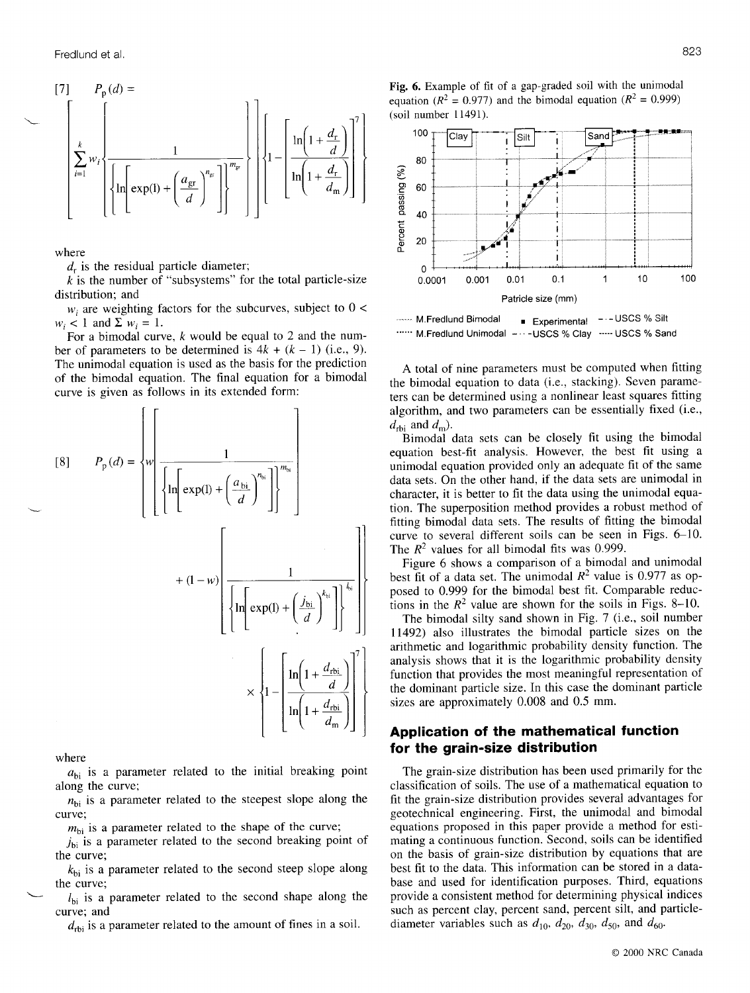I7l Pp(A = k Lwi t t , ',-ll''' ]rnl.^n,r.l9l lf LL ')) j, lg-rll'1 I L'{'.\*]l l

where

 $d<sub>r</sub>$  is the residual particle diameter;

 $k$  is the number of "subsystems" for the total particle-size distribution; and

 $w_i$  are weighting factors for the subcurves, subject to  $0 <$  $w_i$  < 1 and  $\Sigma w_i = 1$ .

For a bimodal curve,  $k$  would be equal to 2 and the number of parameters to be determined is  $4k + (k - 1)$  (i.e., 9). The unimodal equation is used as the basis for the prediction of the bimodal equation. The final equation for a bimodal curve is given as follows in its extended form:

$$
[8] \qquad P_{p}(d) = \sqrt[n]{\left\{\ln\left(\exp(1) + \left(\frac{a_{bi}}{d}\right)^{n_{bi}}\right\}\right\}^{m_{bi}}}
$$
\n
$$
+ (1-w) \left\{\left[\ln\left(\exp(1) + \left(\frac{j_{bi}}{d}\right)^{k_{bi}}\right]\right\}^{m_{bi}}
$$
\n
$$
+ (1-w) \left\{\ln\left(\exp(1) + \left(\frac{j_{bi}}{d}\right)^{k_{bi}}\right]\right\}^{k_{bi}}
$$
\n
$$
\left\{\ln\left(\exp(1) + \left(\frac{j_{bi}}{d}\right)^{k_{bi}}\right)\right\}^{k_{bi}}
$$
\n
$$
+ (1-w) \left\{\left[\ln\left(\exp(1) + \left(\frac{j_{bi}}{d}\right)^{k_{bi}}\right]\right\}^{k_{bi}}
$$
\n
$$
+ (1-w) \left\{\ln\left(\frac{1 + \frac{d_{bbi}}{d}}{1 + \frac{d_{bbi}}{d}}\right)\right\}^{k_{bi}}
$$
\n
$$
+ (1-w) \left\{\ln\left(\frac{1 + \frac{d_{bbi}}{d}}{1 + \frac{d_{bbi}}{d}}\right)\right\}^{k_{bi}}
$$
\n
$$
+ (1-w) \left\{\ln\left(\frac{1 + \frac{d_{bbi}}{d}}{1 + \frac{d_{bbi}}{d}}\right)\right\}^{k_{bi}}
$$
\n
$$
+ (1-w) \left\{\ln\left(\frac{1 + \frac{d_{bbi}}{d}}{1 + \frac{d_{bbi}}{d}}\right)\right\}^{k_{bi}}
$$
\n
$$
+ (1-w) \left\{\ln\left(\frac{1 + \frac{d_{bbi}}{d}}{1 + \frac{d_{bbi}}{d}}\right)\right\}^{k_{bi}}
$$
\n
$$
+ (1-w) \left\{\ln\left(\frac{1 + \frac{d_{bbi}}{d}}{1 + \frac{d_{bbi}}{d}}\right)\right\}^{k_{bi}}
$$
\n
$$
+ (1-w) \left\{\ln\left(\frac{1 + \frac{d_{bbi}}{d}}{1 + \frac{d_{bbi}}{d}}\right)\right\}^{k_{bi}}
$$
\n
$$
+ (1-w) \left\{\ln\left(\frac{1 + \frac{d_{bbi}}{d}}{1 + \
$$

where

 $a_{bi}$  is a parameter related to the initial breaking point along the curve;

 $n_{\rm bi}$  is a parameter related to the steepest slope along the curve;

 $m_{\text{bi}}$  is a parameter related to the shape of the curve;

 $j_{bi}$  is a parameter related to the second breaking point of the curve;

 $k_{\text{bi}}$  is a parameter related to the second steep slope along the curve;

 $l_{\rm bi}$  is a parameter related to the second shape along the curve; and

 $d_{\text{rbi}}$  is a parameter related to the amount of fines in a soil.

Fig. 6. Example of fit of a gap-graded soil with the unimodal equation ( $R^2 = 0.977$ ) and the bimodal equation ( $R^2 = 0.999$ ) (soil number ll49l).



""" M.Fredlund Unimodal - - - - USCS % Clay - ---- USCS % Sand

A total of nine parameters must be computed when fitting the bimodal equation to data (i.e., stacking). Seven parameters can be determined using a nonlinear least squares fitting algorithm, and two parameters can be essentially fixed (i.e.,  $d_{\text{rbi}}$  and  $d_{\text{m}}$ ).

Bimodal data sets can be closely fit using the bimodal equation best-fit analysis. However, the best fit using a unimodal equation provided only an adequate fit of the same data sets. On the other hand, if the data sets are unimodal in character, it is better to fit the data using the unimodal equation. The superposition method provides a robust method of fitting bimodal data sets. The results of fitting the bimodal curve to several different soils can be seen in Figs. 6-10. The  $R^2$  values for all bimodal fits was 0.999.

Figure 6 shows a comparison of a bimodal and unimodal best fit of a data set. The unimodal  $R^2$  value is 0.977 as opposed to 0.999 for the bimodal best fit. Comparable reductions in the  $R^2$  value are shown for the soils in Figs. 8-10.

The bimodal silty sand shown in Fig. 7 (i.e., soil number 11492) also illustrates the bimodal particle sizes on the arithmetic and logarithmic probability density function. The analysis shows that it is the logarithmic probability density function that provides the most meaningful representation of the dominant particle size. In this case the dominant particle sizes are approximately 0.008 and 0.5 mm.

# Application of the mathematical function for the grain-size distribution

The grain-size distribution has been used primarily for the classification of soils. The use of a mathematical equation to fit the grain-size distribution provides several advantages for geotechnical engineering. First, the unimodal and bimodal equations proposed in this paper provide a method for estimating a continuous function. Second, soils can be identified on the basis of grain-size distribution by equations that are best fit to the data. This information can be stored in a database and used for identification purposes. Third, equations provide a consistent method for determining physical indices such as percent clay, percent sand, percent silt, and particlediameter variables such as  $d_{10}$ ,  $d_{20}$ ,  $d_{30}$ ,  $d_{50}$ , and  $d_{60}$ .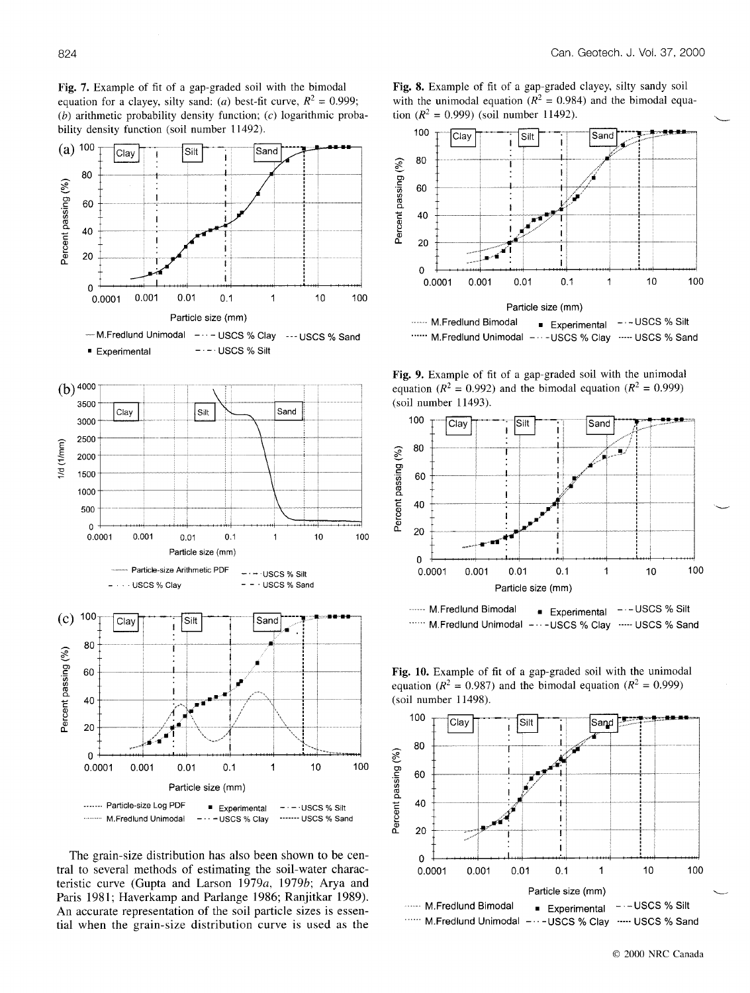Fig. 7. Example of fit of a gap-graded soil with the bimodal equation for a clayey, silty sand: (a) best-fit curve,  $R^2 = 0.999$ ;  $(b)$  arithmetic probability density function;  $(c)$  logarithmic proba-



The grain-size distribution has also been shown to be central to several methods of estimating the soil-water characteristic curve (Gupta and Larson 1979a, 1979b; Arya and Paris 1981; Haverkamp and Parlange 1986; Ranjitkar 1989). An accurate representation of the soil particle sizes is essential when the grain-size distribution curve is used as the





Fig. 9. Example of fit of a gap-graded soil with the unimodal equation ( $R^2 = 0.992$ ) and the bimodal equation ( $R^2 = 0.999$ ) (soil number 11493).